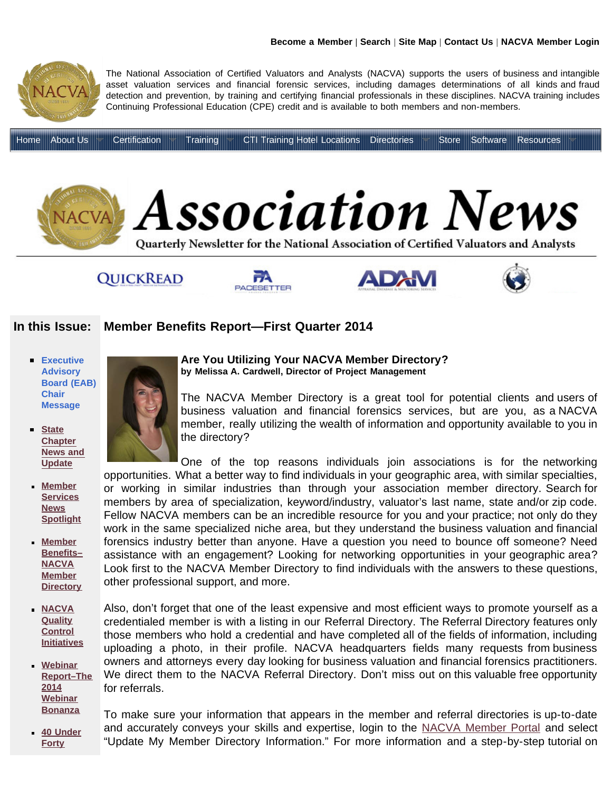<span id="page-0-0"></span>

## **QUICKREAD**







## **In this Issue: [Member Benefits R](http://www.quickreadbuzz.com/)e[port—First Quarter 2014](http://www.nacva.com/pacesetter.asp)**

- **[Executive](http://www.nacva.com/association_news/2014qrtr1/EAB_Message.asp) [Advisory](http://www.nacva.com/association_news/2014qrtr1/EAB_Message.asp) [Board \(EAB\)](http://www.nacva.com/association_news/2014qrtr1/EAB_Message.asp) [Chair](http://www.nacva.com/association_news/2014qrtr1/EAB_Message.asp) [Message](http://www.nacva.com/association_news/2014qrtr1/EAB_Message.asp)**
- **[State](http://www.nacva.com/association_news/2014qrtr1/St_Chapter_News.asp)**  $\blacksquare$ **[Chapter](http://www.nacva.com/association_news/2014qrtr1/St_Chapter_News.asp) [News and](http://www.nacva.com/association_news/2014qrtr1/St_Chapter_News.asp) [Update](http://www.nacva.com/association_news/2014qrtr1/St_Chapter_News.asp)**
- **[Member](http://www.nacva.com/association_news/2014qrtr1/Member_Services_News.asp) [Services](http://www.nacva.com/association_news/2014qrtr1/Member_Services_News.asp) [News](http://www.nacva.com/association_news/2014qrtr1/Member_Services_News.asp) [Spotlight](http://www.nacva.com/association_news/2014qrtr1/Member_Services_News.asp)**
- **[Member](#page-0-0) [Benefits–](#page-0-0) [NACVA](#page-0-0) [Member](#page-0-0) [Directory](#page-0-0)**
- **[NACVA](http://www.nacva.com/association_news/2014qrtr1/NACVA_Quality_Control.asp) [Quality](http://www.nacva.com/association_news/2014qrtr1/NACVA_Quality_Control.asp) [Control](http://www.nacva.com/association_news/2014qrtr1/NACVA_Quality_Control.asp) [Initiatives](http://www.nacva.com/association_news/2014qrtr1/NACVA_Quality_Control.asp)**
- **[Webinar](http://www.nacva.com/association_news/2014qrtr1/Webinars_Report.asp) [Report–The](http://www.nacva.com/association_news/2014qrtr1/Webinars_Report.asp) [2014](http://www.nacva.com/association_news/2014qrtr1/Webinars_Report.asp) [Webinar](http://www.nacva.com/association_news/2014qrtr1/Webinars_Report.asp) [Bonanza](http://www.nacva.com/association_news/2014qrtr1/Webinars_Report.asp)**
- **[40 Under](http://www.nacva.com/association_news/2014qrtr1/40_under_forty.asp) [Forty](http://www.nacva.com/association_news/2014qrtr1/40_under_forty.asp)**



The NACVA Member Directory is a great tool for potential clients and users of business valuation and financial forensics services, but are you, as a NACVA member, really utilizing the wealth of information and opportunity available to you in the directory?

One of the top reasons individuals join associations is for the networking opportunities. What a better way to find individuals in your geographic area, with similar specialties, or working in similar industries than through your association member directory. Search for members by area of specialization, keyword/industry, valuator's last name, state and/or zip code. Fellow NACVA members can be an incredible resource for you and your practice; not only do they work in the same specialized niche area, but they understand the business valuation and financial forensics industry better than anyone. Have a question you need to bounce off someone? Need assistance with an engagement? Looking for networking opportunities in your geographic area? Look first to the NACVA Member Directory to find individuals with the answers to these questions, other professional support, and more.

Also, don't forget that one of the least expensive and most efficient ways to promote yourself as a credentialed member is with a listing in our Referral Directory. The Referral Directory features only those members who hold a credential and have completed all of the fields of information, including uploading a photo, in their profile. NACVA headquarters fields many requests from business owners and attorneys every day looking for business valuation and financial forensics practitioners. We direct them to the NACVA Referral Directory. Don't miss out on this valuable free opportunity for referrals.

To make sure your information that appears in the member and referral directories is up-to-date and accurately conveys your skills and expertise, login to the [NACVA Member Portal](http://www.nacva.com/z/members/login/) and select "Update My Member Directory Information." For more information and a step-by-step tutorial on